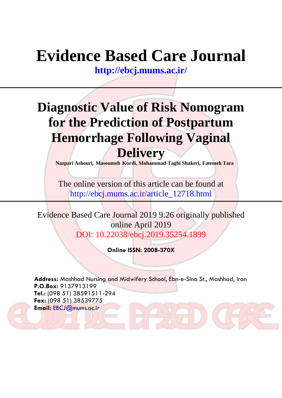# **Evidence Based Care Journal**

**<http://ebcj.mums.ac.ir/>**

## **Diagnostic Value of Risk Nomogram for the Prediction of Postpartum Hemorrhage Following Vaginal Delivery**

**Nazpari Ashouri, Masoumeh Kordi, Mohammad-Taghi Shakeri, Fatemeh Tara**

The online version of this article can be found at http://ebcj.mums.ac.ir/article\_12718.html

Evidence Based Care Journal 2019 9:26 originally published online April 2019 DOI: 10.22038/ebcj.2019.35254.1899

**Online ISSN: 2008-370X**

**Address:** Mashhad Nursing and Midwifery School, Ebn-e-Sina St., Mashhad, Iran **P.O.Box:** 9137913199 **Tel.:** (098 51) 38591511-294 **Fax:** (098 51) 38539775 **Email:** [EBCJ@mums.ac.ir](mailto:EBCJ@mums.ac.ir)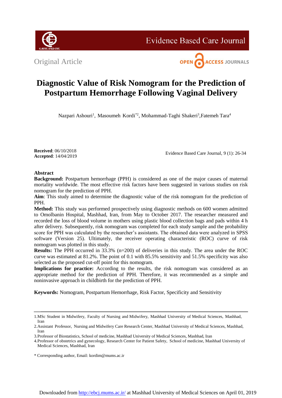

**Evidence Based Care Journal** 

Original Article



### **Diagnostic Value of Risk Nomogram for the Prediction of Postpartum Hemorrhage Following Vaginal Delivery**

Nazpari Ashouri<sup>1</sup>, Masoumeh Kordi<sup>\*2</sup>, Mohammad-Taghi Shakeri<sup>3</sup>, Fatemeh Tara<sup>4</sup>

**Received**: 06/10/2018 **Accepted**: 14/04/2019

Evidence Based Care Journal, 9 (1): 26-34

#### **Abstract**

**Background:** Postpartum hemorrhage (PPH) is considered as one of the major causes of maternal mortality worldwide. The most effective risk factors have been suggested in various studies on risk nomogram for the prediction of PPH.

**Aim**: This study aimed to determine the diagnostic value of the risk nomogram for the prediction of PPH.

**Method:** This study was performed prospectively using diagnostic methods on 600 women admitted to Omolbanin Hospital, Mashhad, Iran, from May to October 2017. The researcher measured and recorded the loss of blood volume in mothers using plastic blood collection bags and pads within 4 h after delivery. Subsequently, risk nomogram was completed for each study sample and the probability score for PPH was calculated by the researcher's assistants. The obtained data were analyzed in SPSS software (Version 25). Ultimately, the receiver operating characteristic (ROC) curve of risk nomogram was plotted in this study.

**Results:** The PPH occurred in 33.3% (n=200) of deliveries in this study. The area under the ROC curve was estimated at 81.2%. The point of 0.1 with 85.5% sensitivity and 51.5% specificity was also selected as the proposed cut-off point for this nomogram.

Implications for practice: According to the results, the risk nomogram was considered as an appropriate method for the prediction of PPH. Therefore, it was recommended as a simple and noninvasive approach in childbirth for the prediction of PPH.

**Keywords:** Nomogram, Postpartum Hemorrhage, Risk Factor, Specificity and Sensitivity

<sup>1.</sup>MSc Student in Midwifery, Faculty of Nursing and Midwifery, Mashhad University of Medical Sciences, Mashhad, Iran

<sup>2.</sup>Assistant Professor, Nursing and Midwifery Care Research Center, Mashhad University of Medical Sciences, Mashhad, Iran

<sup>3.</sup>Professor of Biostatistics, School of medicine, Mashhad University of Medical Sciences, Mashhad, Iran

<sup>4.</sup>Professor of obstetrics and gynecology, Research Center for Patient Safety, School of medicine, Mashhad University of Medical Sciences, Mashhad, Iran

<sup>\*</sup> Corresponding author, Email: kordim@mums.ac.ir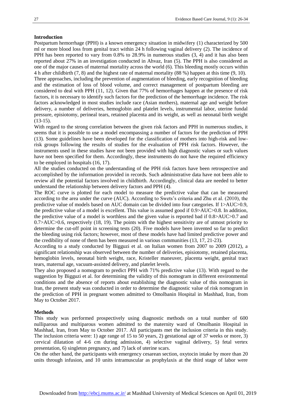#### **Introduction**

Postpartum hemorrhage (PPH) is a known emergency situation in midwifery (1) characterized by 500 ml or more blood loss from genital tract within 24 h following vaginal delivery (2). The incidence of PPH has been reported to vary from 0.8% to 28.9% in numerous studies (3, 4) and it has also been reported about 27% in an investigation conducted in Ahvaz, Iran (5). The PPH is also considered as one of the major causes of maternal mortality across the world (6). This bleeding mostly occurs within 4 h after childbirth (7, 8) and the highest rate of maternal mortality (88 %) happen at this time (9, 10). Three approaches, including the prevention of augmentation of bleeding, early recognition of bleeding and the estimation of loss of blood volume, and correct management of postpartum bleeding are considered to deal with PPH (11, 12). Given that 77% of hemorrhages happen at the presence of risk factors, it is necessary to identify such factors for the prediction of the hemorrhage incidence. The risk factors acknowledged in most studies include race (Asian mothers), maternal age and weight before delivery, a number of deliveries, hemoglobin and platelet levels, instrumental labor, uterine fundal pressure, episiotomy, perineal tears, retained placenta and its weight, as well as neonatal birth weight (13-15).

With regard to the strong correlation between the given risk factors and PPH in numerous studies, it seems that it is possible to use a model encompassing a number of factors for the prediction of PPH (13). Some guidelines have been developed for the classification of mothers into high-risk and lowrisk groups following the results of studies for the evaluation of PPH risk factors. However, the instruments used in these studies have not been provided with high diagnostic values or such values have not been specified for them. Accordingly, these instruments do not have the required efficiency to be employed in hospitals (16, 17).

All the studies conducted on the understanding of the PPH risk factors have been retrospective and accomplished by the information provided in records. Such administrative data have not been able to review all the potential factors involved in childbirth. Accordingly, clinical data are needed to better understand the relationship between delivery factors and PPH (4).

The ROC curve is plotted for each model to measure the predictive value that can be measured according to the area under the curve (AUC). According to Swets's criteria and Zhu et al. (2010), the predictive value of models based on AUC domain can be divided into four categories. If 1>AUC>0.9, the predictive value of a model is excellent. This value is assumed good if 0.9>AUC>0.8. In addition, the predictive value of a model is worthless and the given value is reported bad if 0.8>AUC>0.7 and 0.7>AUC>0.6, respectively (18, 19). The points with the highest sensitivity are of utmost priority to determine the cut-off point in screening tests (20). Five models have been invented so far to predict the bleeding using risk factors; however, most of these models have had limited predictive power and the credibility of none of them has been measured in various communities (13, 17, 21-23).

According to a study conducted by Bigguzi et al. on Italian women from 2007 to 2009 (2012), a significant relationship was observed between the number of deliveries, episiotomy, retained placenta, hemoglobin levels, neonatal birth weight, race, Kristeller maneuver, placenta weight, genital tract tears, maternal age, vacuum-assisted delivery, and platelet levels.

They also proposed a nomogram to predict PPH with 71% predictive value (13). With regard to the suggestion by Bigguzi et al. for determining the validity of this nomogram in different environmental conditions and the absence of reports about establishing the diagnostic value of this nomogram in Iran, the present study was conducted in order to determine the diagnostic value of risk nomogram in the prediction of PPH in pregnant women admitted to Omolbanin Hospital in Mashhad, Iran, from May to October 2017.

#### **Methods**

This study was performed prospectively using diagnostic methods on a total number of 600 nulliparous and multiparous women admitted to the maternity ward of Omolbanin Hospital in Mashhad, Iran, from May to October 2017. All participants met the inclusion criteria in this study. The inclusion criteria were: 1) age range of 15 to 50 years, 2) gestational age of 37 weeks or more, 3) cervical dilatation of 4-6 cm during admission, 4) selective vaginal delivery, 5) fetal vertex presentation, 6) singleton pregnancy, and 7) lack of uterine scars.

On the other hand, the participants with emergency cesarean section, oxytocin intake by more than 20 units through infusion, and 10 units intramuscular as prophylaxis at the third stage of labor were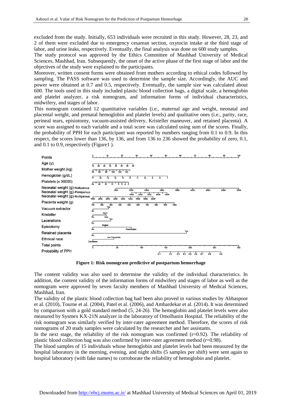excluded from the study. Initially, 653 individuals were recruited in this study. However, 28, 23, and 2 of them were excluded due to emergency cesarean section, oxytocin intake at the third stage of labor, and urine leaks, respectively. Eventually, the final analysis was done on 600 study samples.

The study protocol was approved by the Ethics Committee of Mashhad University of Medical Sciences, Mashhad, Iran. Subsequently, the onset of the active phase of the first stage of labor and the objectives of the study were explained to the participants.

Moreover, written consent forms were obtained from mothers according to ethical codes followed by sampling. The PASS software was used to determine the sample size. Accordingly, the AUC and power were obtained at 0.7 and 0.5, respectively. Eventually, the sample size was calculated about 600. The tools used in this study included plastic blood collection bags, a digital scale, a hemoglobin and platelet analyzer, a risk nomogram, and information forms of individual characteristics, midwifery, and stages of labor.

This nomogram contained 12 quantitative variables (i.e., maternal age and weight, neonatal and placental weight, and prenatal hemoglobin and platelet levels) and qualitative ones (i.e., parity, race, perineal tears, episiotomy, vacuum-assisted delivery, Kristeller maneuver, and retained placenta). A score was assigned to each variable and a total score was calculated using sum of the scores. Finally, the probability of PPH for each participant was reported by numbers ranging from 0.1 to 0.9. In this respect, the scores lower than 136, by 136, and from 136 to 236 showed the probability of zero, 0.1, and 0.1 to 0.9, respectively (Figure1 ).



**Figure 1: Risk nomogram predictive of postpartum hemorrhage**

The content validity was also used to determine the validity of the individual characteristics. In addition, the content validity of the information forms of midwifery and stages of labor as well as the nomogram were approved by seven faculty members of Mashhad University of Medical Sciences, Mashhad, Iran.

The validity of the plastic blood collection bag had been also proved in various studies by Abbaspoor et al. (2010), Tourne et al. (2004), Patel et al. (2006), and Ambardekar et al. (2014). It was determined by comparison with a gold standard method (5, 24-26). The hemoglobin and platelet levels were also measured by Sysmex KX-21N analyzer in the laboratory of Omolbanin Hospital. The reliability of the risk nomogram was similarly verified by inter-rater agreement method. Therefore, the scores of risk nomograms of 20 study samples were calculated by the researcher and her assistants.

In the next stage, the reliability of the risk nomogram was confirmed  $(r=0.92)$ . The reliability of plastic blood collection bag was also confirmed by inter-rater agreement method (r=0.98).

The blood samples of 15 individuals whose hemoglobin and platelet levels had been measured by the hospital laboratory in the morning, evening, and night shifts (5 samples per shift) were sent again to hospital laboratory (with fake names) to corroborate the reliability of hemoglobin and platelet.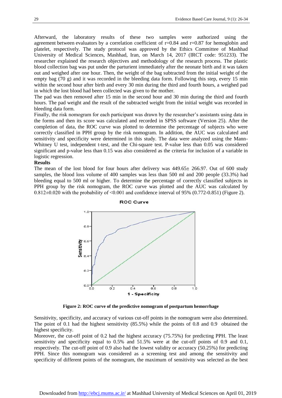Afterward, the laboratory results of these two samples were authorized using the agreement between evaluators by a correlation coefficient of  $r=0.84$  and  $r=0.87$  for hemoglobin and platelet, respectively. The study protocol was approved by the Ethics Committee of Mashhad University of Medical Sciences, Mashhad, Iran, on March 14, 2017 (IRCT code: 951233). The researcher explained the research objectives and methodology of the research process. The plastic blood collection bag was put under the parturient immediately after the neonate birth and it was taken out and weighed after one hour. Then, the weight of the bag subtracted from the initial weight of the empty bag (70 g) and it was recorded in the bleeding data form. Following this step, every 15 min within the second hour after birth and every 30 min during the third and fourth hours, a weighed pad in which the lost blood had been collected was given to the mother.

The pad was then removed after 15 min in the second hour and 30 min during the third and fourth hours. The pad weight and the result of the subtracted weight from the initial weight was recorded in bleeding data form.

Finally, the risk nomogram for each participant was drawn by the researcher's assistants using data in the forms and then its score was calculated and recorded in SPSS software (Version 25). After the completion of data, the ROC curve was plotted to determine the percentage of subjects who were correctly classified in PPH group by the risk nomogram. In addition, the AUC was calculated and sensitivity and specificity were determined in this study. The data were analyzed using the Mann-Whitney U test, independent t-test, and the Chi-square test. P-value less than 0.05 was considered significant and p-value less than 0.15 was also considered as the criteria for inclusion of a variable in logistic regression.

#### **Results**

The mean of the lost blood for four hours after delivery was  $449.65 \pm 266.97$ . Out of 600 study samples, the blood loss volume of 400 samples was less than 500 ml and 200 people (33.3%) had bleeding equal to 500 ml or higher. To determine the percentage of correctly classified subjects in PPH group by the risk nomogram, the ROC curve was plotted and the AUC was calculated by 0.812±0.020 with the probability of ˂0.001 and confidence interval of 95% (0.772-0.851) (Figure 2).



**ROC Curve** 

**Figure 2: ROC curve of the predictive nomogram of postpartum hemorrhage**

Sensitivity, specificity, and accuracy of various cut-off points in the nomogram were also determined. The point of 0.1 had the highest sensitivity (85.5%) while the points of 0.8 and 0.9 obtained the highest specificity.

Moreover, the cut-off point of 0.2 had the highest accuracy (75.75%) for predicting PPH. The least sensitivity and specificity equal to 0.5% and 51.5% were at the cut-off points of 0.9 and 0.1, respectively. The cut-off point of 0.9 also had the lowest validity or accuracy (50.25%) for predicting PPH. Since this nomogram was considered as a screening test and among the sensitivity and specificity of different points of the nomogram, the maximum of sensitivity was selected as the best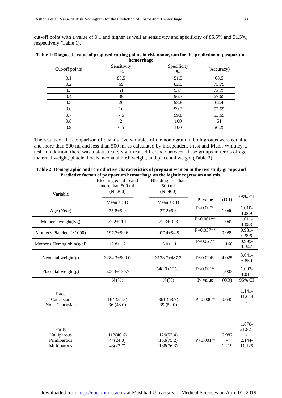cut-off point with a value of 0.1 and higher as well as sensitivity and specificity of 85.5% and 51.5%; respectively (Table 1).

| Cut-off points | Sensitivity<br>$\%$ | Specificity<br>$\%$ | (Accuracy) |
|----------------|---------------------|---------------------|------------|
| 0.1            | 85.5                | 51.5                | 68.5       |
| 0.2            | 69                  | 82.5                | 75.75      |
| 0.3            | 51                  | 93.5                | 72.25      |
| 0.4            | 39                  | 96.3                | 67.65      |
| 0.5            | 26                  | 98.8                | 62.4       |
| 0.6            | 16                  | 99.3                | 57.65      |
| 0.7            | 7.5                 | 99.8                | 53.65      |
| 0.8            | 2                   | 100                 | 51         |
| 0.9            | 0.5                 | 100                 | 50.25      |

**Table 1: Diagnostic value of proposed cutting points in risk nomogram for the prediction of postpartum hemorrhage**

The results of the comparison of quantitative variables of the nomogram in both groups were equal to and more than 500 ml and less than 500 ml as calculated by independent t-test and Mann-Whitney U test. In addition, there was a statistically significant difference between these groups in terms of age, maternal weight, platelet levels, neonatal birth weight, and placental weight (Table 2).

| Variable                                            | Bleeding equal to and<br>more than 500 ml<br>$(N=200)$ | Bleeding less than<br>500 ml<br>$(N=400)$ |              |                |                                         |
|-----------------------------------------------------|--------------------------------------------------------|-------------------------------------------|--------------|----------------|-----------------------------------------|
|                                                     | $Mean \pm SD$                                          | $Mean \pm SD$                             | P- value     | (OR)           | 95% CI                                  |
| Age (Year)                                          | $25.8 \pm 5.9$                                         | $27.2 \pm 6.3$                            | $P=0.007*$   | 1.040          | 1.010-<br>1.069                         |
| Mother's weight $(Kg)$                              | $77.2 \pm 11.1$                                        | $72.3 \pm 10.3$                           | $P<0.001**$  | 1.047          | $1.011 -$<br>1.083                      |
| Mother's Platelets $(\times 1000)$                  | $197.7 \pm 50.6$                                       | $207.4 \pm 54.5$                          | $P=0.037**$  | 0.989          | $0.981 -$<br>0.996                      |
| Mother's Hemoglobin(g/dl)                           | $12.8 \pm 1.2$                                         | $13.0 \pm 1.1$                            | $P=0.027*$   | 1.160          | 0.999-<br>1.347                         |
| Neonatal weight $(g)$                               | 3284.3±509.0                                           | 3138.7±487.2                              | $P<0.024*$   | 4.025          | $3.641 -$<br>6.850                      |
| Placental weight(g)                                 | $608.3 \pm 130.7$                                      | 548.0±125.1                               | $P<0.001*$   | 1.003          | $1.003 -$<br>1.011                      |
|                                                     | N(% )                                                  | N(% )                                     | P- value     | (OR)           | 95% CI                                  |
| Race<br>Caucasian<br>Non-Caucasian                  | 164(31.3)<br>36(48.0)                                  | 361 (68.7)<br>39(52.0)                    | $P=0.006***$ | 0.645          | $1.141 -$<br>11.644                     |
| Parity<br>Nulliparous<br>Primiparous<br>Multiparous | 113(46.6)<br>44(24.8)<br>43(23.7)                      | 129(53.4)<br>133(75.2)<br>138(76.3)       | $P<0.001***$ | 5.987<br>1.219 | 1.870-<br>21.821<br>$2.144 -$<br>11.125 |

**Table 2: Demographic and reproductive characteristics of pregnant women in the two study groups and Predictive factors of postpartum hemorrhage on the logistic regression analysis.**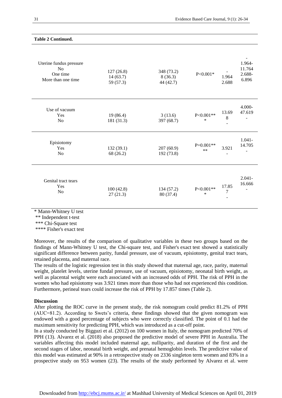| Uterine fundus pressure<br>N <sub>o</sub><br>One time<br>More than one time | 127(26.8)<br>14(63.7)<br>59 (57.3) | 348 (73.2)<br>8(36.3)<br>44 (42.7) | $P<0.001*$            | 1.964<br>2.688            | 1.964-<br>11.764<br>2.688-<br>6.896 |
|-----------------------------------------------------------------------------|------------------------------------|------------------------------------|-----------------------|---------------------------|-------------------------------------|
| Use of vacuum<br>Yes<br>N <sub>0</sub>                                      | 19(86.4)<br>181 (31.3)             | 3(13.6)<br>397 (68.7)              | $P<0.001**$<br>$\ast$ | 13.69<br>$8\phantom{.0}$  | 4.000-<br>47.619                    |
| Episiotomy<br>Yes<br>N <sub>o</sub>                                         | 132(39.1)<br>68 (26.2)             | 207(60.9)<br>192 (73.8)            | $P=0.001**$<br>$**$   | 3.921                     | $1.041 -$<br>14.705                 |
| Genital tract tears<br>Yes<br>N <sub>o</sub>                                | 100(42.8)<br>27(21.3)              | 134 (57.2)<br>80 (37.4)            | $P<0.001**$<br>*      | 17.85<br>$\boldsymbol{7}$ | $2.041 -$<br>16.666                 |

#### **Table 2 Continued.**

\* Mann-Whitney U test

\*\* Independent t-test

\*\*\* Chi-Square test

\*\*\*\* Fisher's exact test

Moreover, the results of the comparison of qualitative variables in these two groups based on the findings of Mann-Whitney U test, the Chi-square test, and Fisher's exact test showed a statistically significant difference between parity, fundal pressure, use of vacuum, episiotomy, genital tract tears, retained placenta, and maternal race.

The results of the logistic regression test in this study showed that maternal age, race, parity, maternal weight, platelet levels, uterine fundal pressure, use of vacuum, episiotomy, neonatal birth weight, as well as placental weight were each associated with an increased odds of PPH. The risk of PPH in the women who had episiotomy was 3.921 times more than those who had not experienced this condition. Furthermore, perineal tears could increase the risk of PPH by 17.857 times (Table 2).

#### **Discussion**

After plotting the ROC curve in the present study, the risk nomogram could predict 81.2% of PPH (AUC=81.2). According to Swets's criteria, these findings showed that the given nomogram was endowed with a good percentage of subjects who were correctly classified. The point of 0.1 had the maximum sensitivity for predicting PPH, which was introduced as a cut-off point.

In a study conducted by Bigguzi et al. (2012) on 100 women in Italy, the nomogram predicted 70% of PPH (13). Alvarez et al. (2018) also proposed the predictive model of severe PPH in Australia. The variables affecting this model included maternal age, nulliparity, and duration of the first and the second stages of labor, neonatal birth weight, and prenatal hemoglobin levels. The predictive value of this model was estimated at 90% in a retrospective study on 2336 singleton term women and 83% in a prospective study on 953 women (23). The results of the study performed by Alvarez et al. were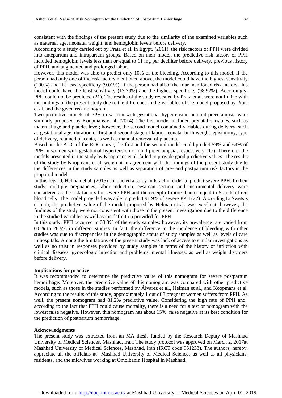consistent with the findings of the present study due to the similarity of the examined variables such as maternal age, neonatal weight, and hemoglobin levels before delivery.

According to a study carried out by Prata et al. in Egypt, (2011), the risk factors of PPH were divided into antepartum and intrapartum groups. Based on their model, the predictive risk factors of PPH included hemoglobin levels less than or equal to 11 mg per deciliter before delivery, previous history of PPH, and augmented and prolonged labor.

However, this model was able to predict only 10% of the bleeding. According to this model, if the person had only one of the risk factors mentioned above, the model could have the highest sensitivity (100%) and the least specificity (9.01%). If the person had all of the four mentioned risk factors, this model could have the least sensitivity (13.79%) and the highest specificity (98.92%). Accordingly, PPH could not be predicted (21). The results of the study revealed by Prata et al. were not in line with the findings of the present study due to the difference in the variables of the model proposed by Prata et al*.* and the given risk nomogram.

Two predictive models of PPH in women with gestational hypertension or mild preeclampsia were similarly proposed by Koopmans et al. (2014). The first model included prenatal variables, such as maternal age and platelet level; however, the second model contained variables during delivery, such as gestational age, duration of first and second stage of labor, neonatal birth weight, episiotomy, type of delivery, retained placenta, as well as manual removal of placenta.

Based on the AUC of the ROC curve, the first and the second model could predict 59% and 64% of PPH in women with gestational hypertension or mild preeclampsia, respectively (17). Therefore, the models presented in the study by Koopmans et al. failed to provide good predictive values. The results of the study by Koopmans et al. were not in agreement with the findings of the present study due to the differences in the study samples as well as separation of pre- and postpartum risk factors in the proposed model.

In this regard, Helman et al. (2015) conducted a study in Israel in order to predict severe PPH. In their study, multiple pregnancies, labor induction, cesarean section, and instrumental delivery were considered as the risk factors for severe PPH and the receipt of more than or equal to 5 units of red blood cells. The model provided was able to predict 91.9% of severe PPH (22). According to Swets's criteria, the predictive value of the model proposed by Helman et al. was excellent; however, the findings of the study were not consistent with those in the present investigation due to the difference in the studied variables as well as the definition provided for PPH.

In this study, PPH occurred in 33.3% of the study samples; however, its prevalence rate varied from 0.8% to 28.9% in different studies. In fact, the difference in the incidence of bleeding with other studies was due to discrepancies in the demographic status of study samples as well as levels of care in hospitals. Among the limitations of the present study was lack of access to similar investigations as well as no trust in responses provided by study samples in terms of the history of infliction with clinical diseases, gynecologic infection and problems, mental illnesses, as well as weight disorders before delivery.

#### **Implications for practice**

It was recommended to determine the predictive value of this nomogram for severe postpartum hemorrhage. Moreover, the predictive value of this nomogram was compared with other predictive models, such as those in the studies performed by Álvarez et al., Helman et al., and Koopmans et al. According to the results of this study, approximately 1 out of 3 pregnant women suffers from PPH. As well, the present nomogram had 81.2% predictive value. Considering the high rate of PPH and according to the fact that PPH could cause mortality, there is a need for a test or nomogram with the lowest false negative. However, this nomogram has about 15% false negative at its best condition for the prediction of postpartum hemorrhage.

#### **Acknowledgments**

The present study was extracted from an MA thesis funded by the Research Deputy of Mashhad University of Medical Sciences, Mashhad, Iran. The study protocol was approved on March 2, 2017at Mashhad University of Medical Sciences, Mashhad, Iran (IRCT code 951233). The authors, hereby, appreciate all the officials at Mashhad University of Medical Sciences as well as all physicians, residents, and the midwives working at Omolbanin Hospital in Mashhad.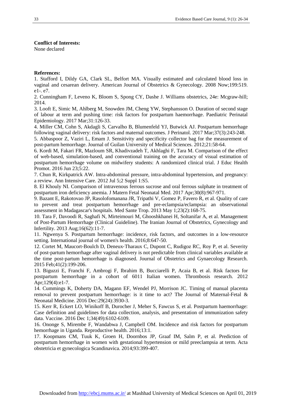#### **Conflict of Interests:**

None declared

#### **References:**

1. Stafford I, Dildy GA, Clark SL, Belfort MA. Visually estimated and calculated blood loss in vaginal and cesarean delivery. American Journal of Obstetrics & Gynecology. 2008 Now;199:519. e1-. e7.

2. Cunningham F, Leveno K, Bloom S, Spong CY, Dashe J. Williams obstetrics, 24e: Mcgraw-hill; 2014.

3. Looft E, Simic M, Ahlberg M, Snowden JM, Cheng YW, Stephansson O. Duration of second stage of labour at term and pushing time: risk factors for postpartum haemorrhage. Paediatric Perinatal Epidemiology. 2017 Mar;31:126-33.

4. Miller CM, Cohn S, Akdagli S, Carvalho B, Blumenfeld YJ, Butwick AJ. Postpartum hemorrhage following vaginal delivery: risk factors and maternal outcomes. [J Perinatol.](https://www.ncbi.nlm.nih.gov/pubmed/27977018) 2017 Mar;37(3):243-248.

5. Abbaspoor Z, Vaziri L, Emam J. Sensitivity and specificity collector bag for the measurement of post-partum hemorrhage. Journal of Guilan University of Medical Sciences. 2012;21:58-64.

6. Kordi M, Fakari FR, Mazloum SR, Khadivzadeh T, Akhlaghi F, Tara M. Comparison of the effect of web-based, simulation-based, and conventional training on the accuracy of visual estimation of postpartum hemorrhage volume on midwifery students: A randomized clinical trial. [J Educ Health](https://www.ncbi.nlm.nih.gov/pubmed/?term=Comparison+of+the+effect+of+web-based%2C+simulation-based%2C+and+conventional+training+on+the+accuracy+of+visual+estimation+of+postpartum+hemorrhage+volume+on+midwifery+students%3A+A+randomized+clinical+trial)  [Promot.](https://www.ncbi.nlm.nih.gov/pubmed/?term=Comparison+of+the+effect+of+web-based%2C+simulation-based%2C+and+conventional+training+on+the+accuracy+of+visual+estimation+of+postpartum+hemorrhage+volume+on+midwifery+students%3A+A+randomized+clinical+trial) 2016 Jun 23;5:22.

7. Chun R, Kirkpatrick AW. Intra-abdominal pressure, intra-abdominal hypertension, and pregnancy: a review. [Ann Intensive Care.](https://www.ncbi.nlm.nih.gov/pubmed/22873421) 2012 Jul 5;2 Suppl 1:S5.

8. El Khouly NI. Comparison of intravenous ferrous sucrose and oral ferrous sulphate in treatment of postpartum iron deficiency anemia. [J Matern Fetal Neonatal Med.](https://www.ncbi.nlm.nih.gov/pubmed/?term=Comparison+of+intravenous+ferrous+sucrose+and+oral+ferrous+sulphate+in+treatment+of+postpartum+iron+deficiency+anemia) 2017 Apr;30(8):967-971.

9. Bazant E, Rakotovao JP, Rasolofomanana JR, Tripathi V, Gomez P, Favero R, et al. Quality of care to prevent and treat postpartum hemorrhage and pre-eclampsia/eclampsia: an observational assessment in Madagascar's hospitals[. Med Sante Trop.](https://www.ncbi.nlm.nih.gov/pubmed/?term=Quality+of+care+to+prevent+and+treat+postpartum+hemorrhage+and+pre-eclampsia%2Feclampsia%3A+an+observational+assessment+in+Madagascar%27s+hospitals) 2013 May 1;23(2):168-75.

10. Tara F, Davoodi R, Saghafi N, Mirteimouri M, Ghooshkhanei H, Soltanifar A, et al. Management of Post-Partum Hemorrhage (Clinical Guideline). The Iranian Journal of Obstetrics, Gynecology and Infertility. 2013 Aug;16(62):11-7.

11. Ngwenya S. Postpartum hemorrhage: incidence, risk factors, and outcomes in a low-resource setting. International journal of women's health. 2016;8:647-50.

12. Cortet M, Maucort-Boulch D, Deneux-Tharaux C, Dupont C, Rudigoz RC, Roy P, et al. Severity of post‐partum hemorrhage after vaginal delivery is not predictable from clinical variables available at the time post‐partum hemorrhage is diagnosed. Journal of Obstetrics and Gynaecology Research. 2015 Feb;41(2):199-206.

13. Biguzzi E, Franchi F, Ambrogi F, Ibrahim B, Bucciarelli P, Acaia B, et al. Risk factors for postpartum hemorrhage in a cohort of 6011 Italian women. Thrombosis research. 2012 Apr;129(4):e1-7.

14. Cummings K, Doherty DA, Magann EF, Wendel PJ, Morrison JC. Timing of manual placenta removal to prevent postpartum hemorrhage: is it time to act? The Journal of Maternal-Fetal & Neonatal Medicine. 2016 Dec:29(24):3930-3.

15. Kerr R, Eckert LO, Winikoff B, Durocher J, Meher S, Fawcus S, et al. Postpartum haemorrhage: Case definition and guidelines for data collection, analysis, and presentation of immunization safety data. [Vaccine.](https://www.ncbi.nlm.nih.gov/pubmed/27431424) 2016 Dec 1;34(49):6102-6109.

16. Ononge S, Mirembe F, Wandabwa J, Campbell OM. Incidence and risk factors for postpartum hemorrhage in Uganda. Reproductive health. 2016;13:1.

17. Koopmans CM, Tuuk K, Groen H, Doornbos JP, Graaf IM, Salm P, et al. Prediction of postpartum hemorrhage in women with gestational hypertension or mild preeclampsia at term. Acta obstetricia et gynecologica Scandinavica. 2014;93:399-407.